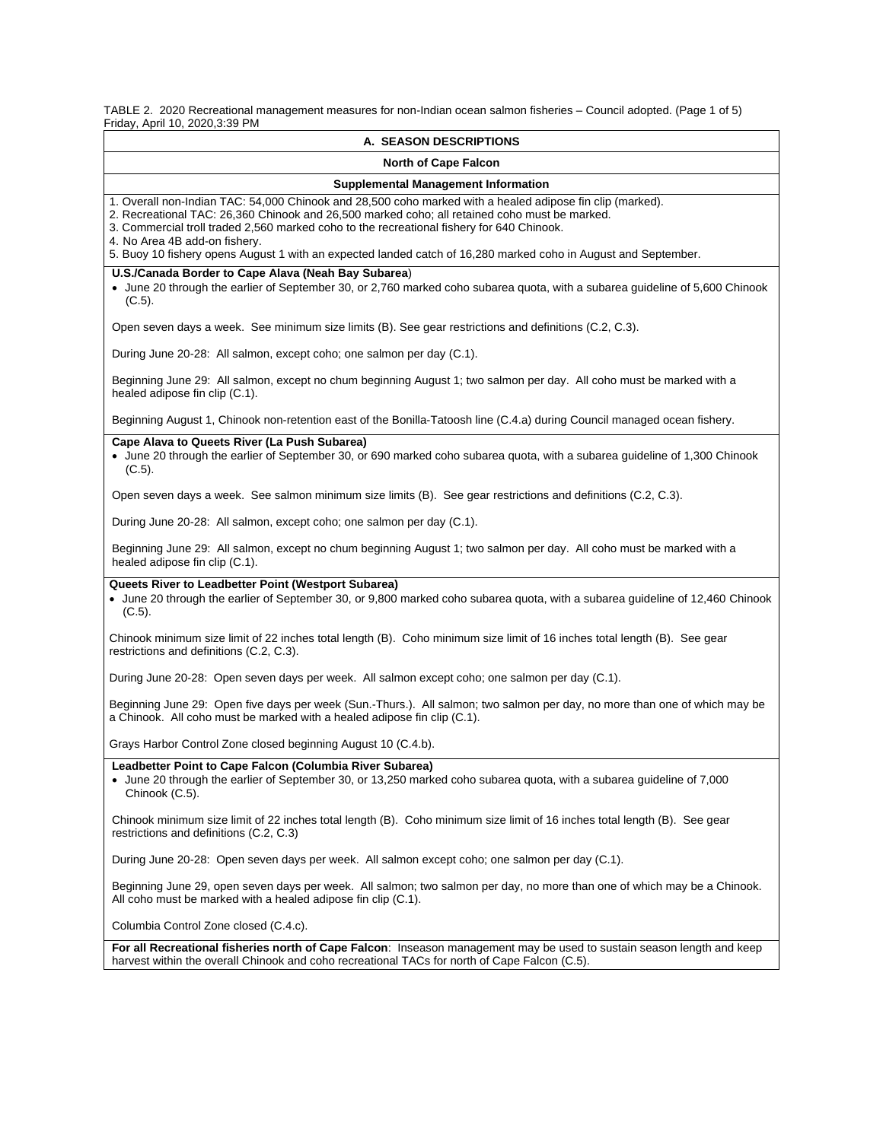TABLE 2. 2020 Recreational management measures for non-Indian ocean salmon fisheries – Council adopted. (Page 1 of 5) Friday, April 10, 2020,3:39 PM

| <b>A. SEASON DESCRIPTIONS</b>                                                                                                                                                                                                                                                                                                            |  |  |  |  |
|------------------------------------------------------------------------------------------------------------------------------------------------------------------------------------------------------------------------------------------------------------------------------------------------------------------------------------------|--|--|--|--|
| <b>North of Cape Falcon</b>                                                                                                                                                                                                                                                                                                              |  |  |  |  |
| <b>Supplemental Management Information</b>                                                                                                                                                                                                                                                                                               |  |  |  |  |
| 1. Overall non-Indian TAC: 54,000 Chinook and 28,500 coho marked with a healed adipose fin clip (marked).<br>2. Recreational TAC: 26,360 Chinook and 26,500 marked coho; all retained coho must be marked.<br>3. Commercial troll traded 2,560 marked coho to the recreational fishery for 640 Chinook.<br>4. No Area 4B add-on fishery. |  |  |  |  |
| 5. Buoy 10 fishery opens August 1 with an expected landed catch of 16,280 marked coho in August and September.                                                                                                                                                                                                                           |  |  |  |  |
| U.S./Canada Border to Cape Alava (Neah Bay Subarea)<br>• June 20 through the earlier of September 30, or 2,760 marked coho subarea quota, with a subarea quideline of 5,600 Chinook<br>$(C.5)$ .                                                                                                                                         |  |  |  |  |
| Open seven days a week. See minimum size limits (B). See gear restrictions and definitions (C.2, C.3).                                                                                                                                                                                                                                   |  |  |  |  |
| During June 20-28: All salmon, except coho; one salmon per day (C.1).                                                                                                                                                                                                                                                                    |  |  |  |  |
| Beginning June 29: All salmon, except no chum beginning August 1; two salmon per day. All coho must be marked with a<br>healed adipose fin clip (C.1).                                                                                                                                                                                   |  |  |  |  |
| Beginning August 1, Chinook non-retention east of the Bonilla-Tatoosh line (C.4.a) during Council managed ocean fishery.                                                                                                                                                                                                                 |  |  |  |  |
| Cape Alava to Queets River (La Push Subarea)<br>• June 20 through the earlier of September 30, or 690 marked coho subarea quota, with a subarea guideline of 1,300 Chinook<br>$(C.5)$ .                                                                                                                                                  |  |  |  |  |
| Open seven days a week. See salmon minimum size limits (B). See gear restrictions and definitions (C.2, C.3).                                                                                                                                                                                                                            |  |  |  |  |
| During June 20-28: All salmon, except coho; one salmon per day (C.1).                                                                                                                                                                                                                                                                    |  |  |  |  |
| Beginning June 29: All salmon, except no chum beginning August 1; two salmon per day. All coho must be marked with a<br>healed adipose fin clip (C.1).                                                                                                                                                                                   |  |  |  |  |
| Queets River to Leadbetter Point (Westport Subarea)<br>• June 20 through the earlier of September 30, or 9,800 marked coho subarea quota, with a subarea guideline of 12,460 Chinook<br>$(C.5)$ .                                                                                                                                        |  |  |  |  |
| Chinook minimum size limit of 22 inches total length (B). Coho minimum size limit of 16 inches total length (B). See gear<br>restrictions and definitions (C.2, C.3).                                                                                                                                                                    |  |  |  |  |
| During June 20-28: Open seven days per week. All salmon except coho; one salmon per day (C.1).                                                                                                                                                                                                                                           |  |  |  |  |
| Beginning June 29: Open five days per week (Sun.-Thurs.). All salmon; two salmon per day, no more than one of which may be<br>a Chinook. All coho must be marked with a healed adipose fin clip (C.1).                                                                                                                                   |  |  |  |  |
| Grays Harbor Control Zone closed beginning August 10 (C.4.b).                                                                                                                                                                                                                                                                            |  |  |  |  |
| Leadbetter Point to Cape Falcon (Columbia River Subarea)<br>June 20 through the earlier of September 30, or 13,250 marked coho subarea quota, with a subarea guideline of 7,000<br>Chinook (C.5).                                                                                                                                        |  |  |  |  |
| Chinook minimum size limit of 22 inches total length (B). Coho minimum size limit of 16 inches total length (B). See gear<br>restrictions and definitions (C.2, C.3)                                                                                                                                                                     |  |  |  |  |
| During June 20-28: Open seven days per week. All salmon except coho; one salmon per day (C.1).                                                                                                                                                                                                                                           |  |  |  |  |
| Beginning June 29, open seven days per week. All salmon; two salmon per day, no more than one of which may be a Chinook.<br>All coho must be marked with a healed adipose fin clip (C.1).                                                                                                                                                |  |  |  |  |
| Columbia Control Zone closed (C.4.c).                                                                                                                                                                                                                                                                                                    |  |  |  |  |
| For all Recreational fisheries north of Cape Falcon: Inseason management may be used to sustain season length and keep<br>harvest within the overall Chinook and coho recreational TACs for north of Cape Falcon (C.5).                                                                                                                  |  |  |  |  |
|                                                                                                                                                                                                                                                                                                                                          |  |  |  |  |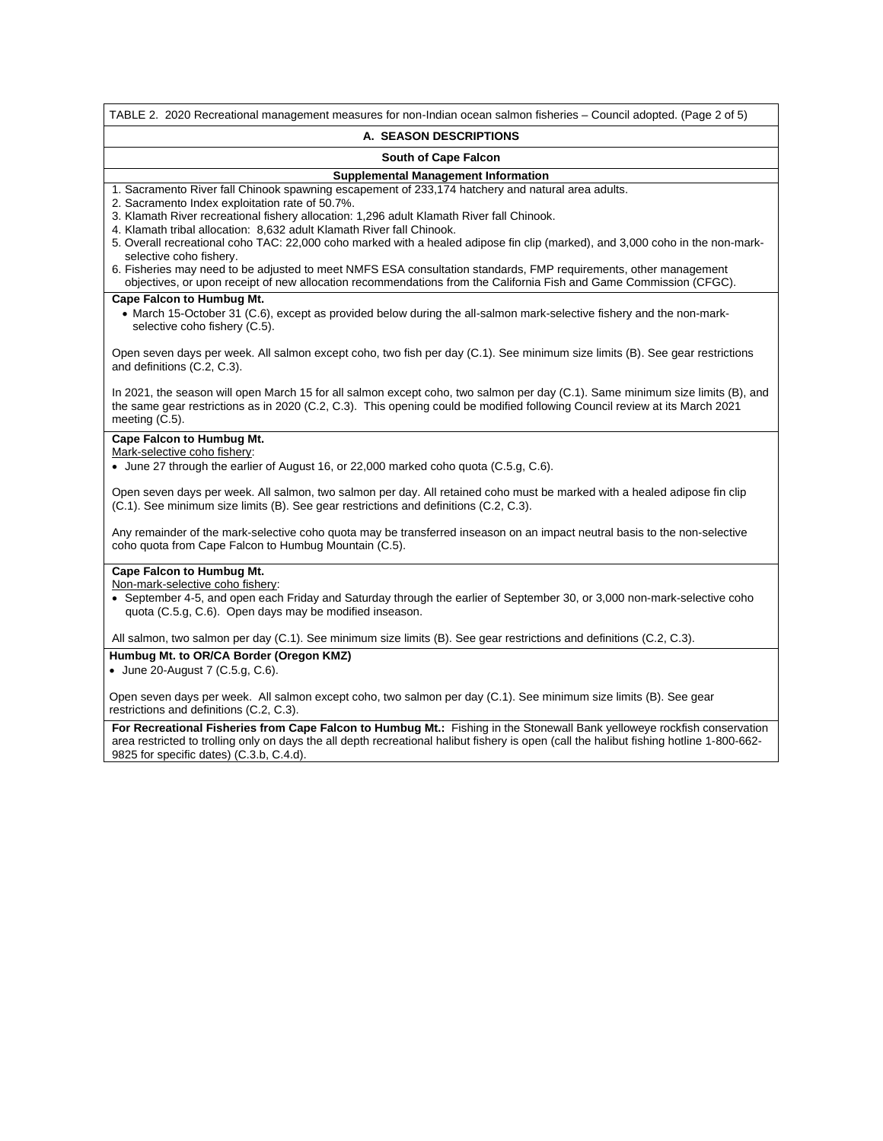TABLE 2. 2020 Recreational management measures for non-Indian ocean salmon fisheries – Council adopted. (Page 2 of 5) **A. SEASON DESCRIPTIONS South of Cape Falcon Supplemental Management Information** 1. Sacramento River fall Chinook spawning escapement of 233,174 hatchery and natural area adults. 2. Sacramento Index exploitation rate of 50.7%. 3. Klamath River recreational fishery allocation: 1,296 adult Klamath River fall Chinook. 4. Klamath tribal allocation: 8,632 adult Klamath River fall Chinook. 5. Overall recreational coho TAC: 22,000 coho marked with a healed adipose fin clip (marked), and 3,000 coho in the non-markselective coho fishery. 6. Fisheries may need to be adjusted to meet NMFS ESA consultation standards, FMP requirements, other management objectives, or upon receipt of new allocation recommendations from the California Fish and Game Commission (CFGC). **Cape Falcon to Humbug Mt.** • March 15-October 31 (C.6), except as provided below during the all-salmon mark-selective fishery and the non-markselective coho fishery (C.5). Open seven days per week. All salmon except coho, two fish per day (C.1). See minimum size limits (B). See gear restrictions and definitions (C.2, C.3). In 2021, the season will open March 15 for all salmon except coho, two salmon per day (C.1). Same minimum size limits (B), and the same gear restrictions as in 2020 (C.2, C.3). This opening could be modified following Council review at its March 2021 meeting (C.5). **Cape Falcon to Humbug Mt.** Mark-selective coho fishery: • June 27 through the earlier of August 16, or 22,000 marked coho quota (C.5.g, C.6). Open seven days per week. All salmon, two salmon per day. All retained coho must be marked with a healed adipose fin clip (C.1). See minimum size limits (B). See gear restrictions and definitions (C.2, C.3). Any remainder of the mark-selective coho quota may be transferred inseason on an impact neutral basis to the non-selective coho quota from Cape Falcon to Humbug Mountain (C.5). **Cape Falcon to Humbug Mt.** Non-mark-selective coho fishery: • September 4-5, and open each Friday and Saturday through the earlier of September 30, or 3,000 non-mark-selective coho quota (C.5.g, C.6). Open days may be modified inseason. All salmon, two salmon per day (C.1). See minimum size limits (B). See gear restrictions and definitions (C.2, C.3). **Humbug Mt. to OR/CA Border (Oregon KMZ)** • June 20-August 7 (C.5.g, C.6). Open seven days per week. All salmon except coho, two salmon per day (C.1). See minimum size limits (B). See gear restrictions and definitions (C.2, C.3). **For Recreational Fisheries from Cape Falcon to Humbug Mt.:** Fishing in the Stonewall Bank yelloweye rockfish conservation area restricted to trolling only on days the all depth recreational halibut fishery is open (call the halibut fishing hotline 1-800-662- 9825 for specific dates) (C.3.b, C.4.d).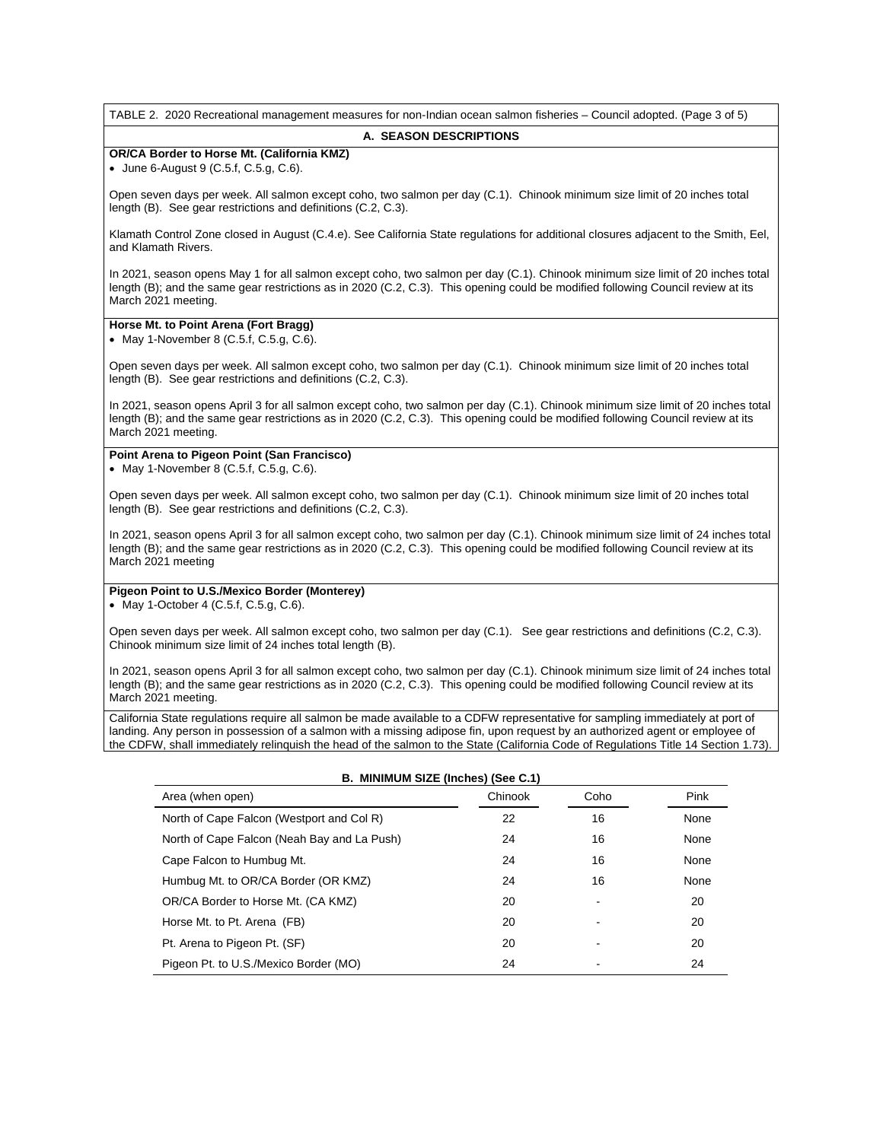TABLE 2. 2020 Recreational management measures for non-Indian ocean salmon fisheries – Council adopted. (Page 3 of 5)

#### **A. SEASON DESCRIPTIONS**

## **OR/CA Border to Horse Mt. (California KMZ)**

• June 6-August 9 (C.5.f, C.5.g, C.6).

Open seven days per week. All salmon except coho, two salmon per day (C.1). Chinook minimum size limit of 20 inches total length (B). See gear restrictions and definitions (C.2, C.3).

Klamath Control Zone closed in August (C.4.e). See California State regulations for additional closures adjacent to the Smith, Eel, and Klamath Rivers.

In 2021, season opens May 1 for all salmon except coho, two salmon per day (C.1). Chinook minimum size limit of 20 inches total length (B); and the same gear restrictions as in 2020 (C.2, C.3). This opening could be modified following Council review at its March 2021 meeting.

# **Horse Mt. to Point Arena (Fort Bragg)**

• May 1-November 8 (C.5.f, C.5.g, C.6).

Open seven days per week. All salmon except coho, two salmon per day (C.1). Chinook minimum size limit of 20 inches total length (B). See gear restrictions and definitions (C.2, C.3).

In 2021, season opens April 3 for all salmon except coho, two salmon per day (C.1). Chinook minimum size limit of 20 inches total length (B); and the same gear restrictions as in 2020 (C.2, C.3). This opening could be modified following Council review at its March 2021 meeting.

### **Point Arena to Pigeon Point (San Francisco)**

• May 1-November 8 (C.5.f, C.5.g, C.6).

Open seven days per week. All salmon except coho, two salmon per day (C.1). Chinook minimum size limit of 20 inches total length (B). See gear restrictions and definitions (C.2, C.3).

In 2021, season opens April 3 for all salmon except coho, two salmon per day (C.1). Chinook minimum size limit of 24 inches total length (B); and the same gear restrictions as in 2020 (C.2, C.3). This opening could be modified following Council review at its March 2021 meeting

# **Pigeon Point to U.S./Mexico Border (Monterey)**

• May 1-October 4 (C.5.f, C.5.g, C.6).

Open seven days per week. All salmon except coho, two salmon per day (C.1). See gear restrictions and definitions (C.2, C.3). Chinook minimum size limit of 24 inches total length (B).

In 2021, season opens April 3 for all salmon except coho, two salmon per day (C.1). Chinook minimum size limit of 24 inches total length (B); and the same gear restrictions as in 2020 (C.2, C.3). This opening could be modified following Council review at its March 2021 meeting.

California State regulations require all salmon be made available to a CDFW representative for sampling immediately at port of landing. Any person in possession of a salmon with a missing adipose fin, upon request by an authorized agent or employee of the CDFW, shall immediately relinquish the head of the salmon to the State (California Code of Regulations Title 14 Section 1.73).

| B. MINIMUM SIZE (Inches) (See C.1)          |         |      |      |  |
|---------------------------------------------|---------|------|------|--|
| Area (when open)                            | Chinook | Coho | Pink |  |
| North of Cape Falcon (Westport and Col R)   | 22      | 16   | None |  |
| North of Cape Falcon (Neah Bay and La Push) | 24      | 16   | None |  |
| Cape Falcon to Humbug Mt.                   | 24      | 16   | None |  |
| Humbug Mt. to OR/CA Border (OR KMZ)         | 24      | 16   | None |  |
| OR/CA Border to Horse Mt. (CA KMZ)          | 20      |      | 20   |  |
| Horse Mt. to Pt. Arena (FB)                 | 20      |      | 20   |  |
| Pt. Arena to Pigeon Pt. (SF)                | 20      |      | 20   |  |
| Pigeon Pt. to U.S./Mexico Border (MO)       | 24      |      | 24   |  |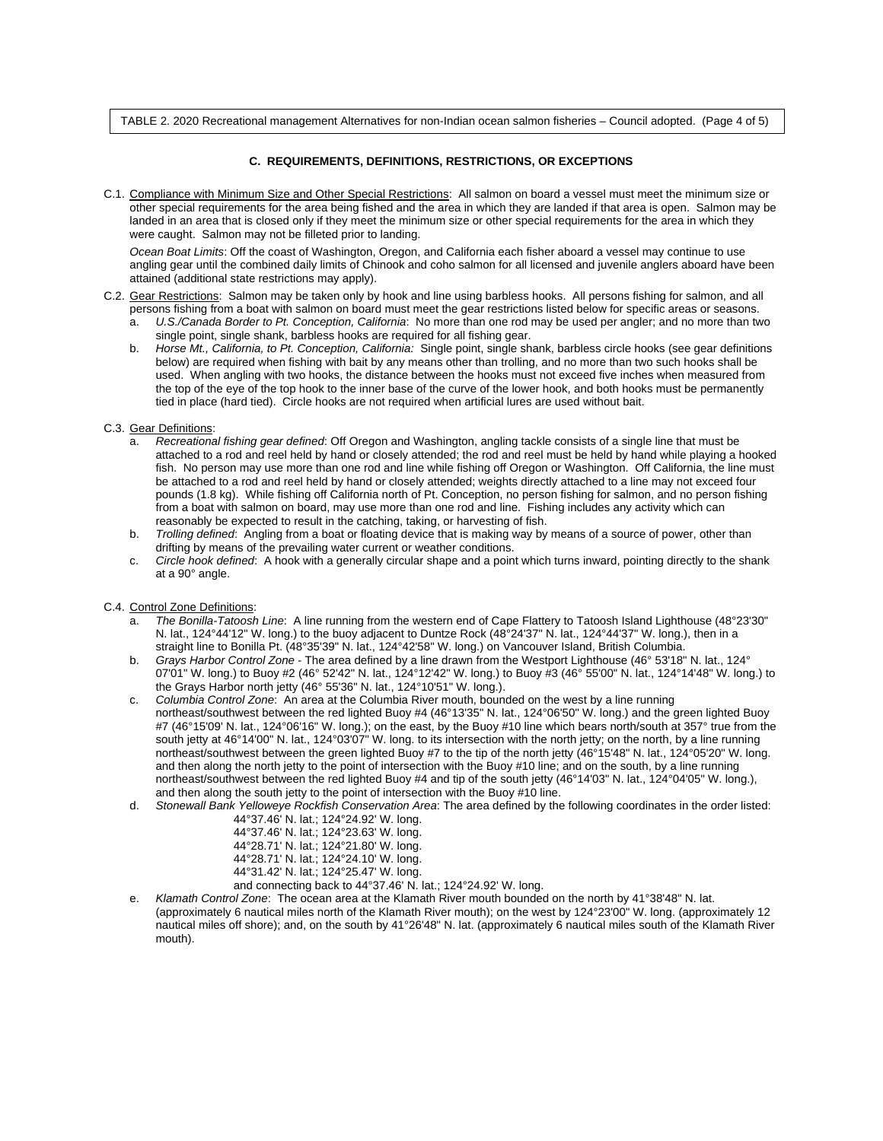TABLE 2. 2020 Recreational management Alternatives for non-Indian ocean salmon fisheries – Council adopted. (Page 4 of 5)

### **C. REQUIREMENTS, DEFINITIONS, RESTRICTIONS, OR EXCEPTIONS**

C.1. Compliance with Minimum Size and Other Special Restrictions: All salmon on board a vessel must meet the minimum size or other special requirements for the area being fished and the area in which they are landed if that area is open. Salmon may be landed in an area that is closed only if they meet the minimum size or other special requirements for the area in which they were caught. Salmon may not be filleted prior to landing.

*Ocean Boat Limits*: Off the coast of Washington, Oregon, and California each fisher aboard a vessel may continue to use angling gear until the combined daily limits of Chinook and coho salmon for all licensed and juvenile anglers aboard have been attained (additional state restrictions may apply).

- C.2. Gear Restrictions: Salmon may be taken only by hook and line using barbless hooks. All persons fishing for salmon, and all persons fishing from a boat with salmon on board must meet the gear restrictions listed below for specific areas or seasons.
	- a. *U.S./Canada Border to Pt. Conception, California*: No more than one rod may be used per angler; and no more than two single point, single shank, barbless hooks are required for all fishing gear.
	- b. *Horse Mt., California, to Pt. Conception, California:* Single point, single shank, barbless circle hooks (see gear definitions below) are required when fishing with bait by any means other than trolling, and no more than two such hooks shall be used. When angling with two hooks, the distance between the hooks must not exceed five inches when measured from the top of the eye of the top hook to the inner base of the curve of the lower hook, and both hooks must be permanently tied in place (hard tied). Circle hooks are not required when artificial lures are used without bait.
- C.3. Gear Definitions:
	- a. *Recreational fishing gear defined*: Off Oregon and Washington, angling tackle consists of a single line that must be attached to a rod and reel held by hand or closely attended; the rod and reel must be held by hand while playing a hooked fish. No person may use more than one rod and line while fishing off Oregon or Washington. Off California, the line must be attached to a rod and reel held by hand or closely attended; weights directly attached to a line may not exceed four pounds (1.8 kg). While fishing off California north of Pt. Conception, no person fishing for salmon, and no person fishing from a boat with salmon on board, may use more than one rod and line. Fishing includes any activity which can reasonably be expected to result in the catching, taking, or harvesting of fish.
	- b. *Trolling defined*: Angling from a boat or floating device that is making way by means of a source of power, other than drifting by means of the prevailing water current or weather conditions.
	- c. *Circle hook defined*: A hook with a generally circular shape and a point which turns inward, pointing directly to the shank at a 90° angle.

#### C.4. Control Zone Definitions:

- a. *The Bonilla-Tatoosh Line*: A line running from the western end of Cape Flattery to Tatoosh Island Lighthouse (48°23'30" N. lat., 124°44'12" W. long.) to the buoy adjacent to Duntze Rock (48°24'37" N. lat., 124°44'37" W. long.), then in a straight line to Bonilla Pt. (48°35'39" N. lat., 124°42'58" W. long.) on Vancouver Island, British Columbia.
- b. *Grays Harbor Control Zone* The area defined by a line drawn from the Westport Lighthouse (46° 53'18" N. lat., 124° 07'01" W. long.) to Buoy #2 (46° 52'42" N. lat., 124°12'42" W. long.) to Buoy #3 (46° 55'00" N. lat., 124°14'48" W. long.) to the Grays Harbor north jetty (46° 55'36" N. lat., 124°10'51" W. long.).
- c. *Columbia Control Zone*: An area at the Columbia River mouth, bounded on the west by a line running northeast/southwest between the red lighted Buoy #4 (46°13'35" N. lat., 124°06'50" W. long.) and the green lighted Buoy #7 (46°15'09' N. lat., 124°06'16" W. long.); on the east, by the Buoy #10 line which bears north/south at 357° true from the south jetty at 46°14'00" N. lat., 124°03'07" W. long. to its intersection with the north jetty; on the north, by a line running northeast/southwest between the green lighted Buoy #7 to the tip of the north jetty (46°15'48" N. lat., 124°05'20" W. long. and then along the north jetty to the point of intersection with the Buoy #10 line; and on the south, by a line running northeast/southwest between the red lighted Buoy #4 and tip of the south jetty (46°14'03" N. lat., 124°04'05" W. long.), and then along the south jetty to the point of intersection with the Buoy #10 line.
- d. *Stonewall Bank Yelloweye Rockfish Conservation Area*: The area defined by the following coordinates in the order listed:

| 44°37.46' N. lat.; 124°24.92' W. long.                                           |
|----------------------------------------------------------------------------------|
| 44°37.46' N. lat.; 124°23.63' W. long.                                           |
| 44°28.71' N. lat.; 124°21.80' W. long.                                           |
| 44°28.71' N. lat.; 124°24.10' W. long.                                           |
| 44°31.42' N. lat.; 124°25.47' W. long.                                           |
| and connecting back to $44^{\circ}37.46'$ N. lat.; 124 $^{\circ}24.92'$ W. long. |

e. *Klamath Control Zone*: The ocean area at the Klamath River mouth bounded on the north by 41°38'48" N. lat. (approximately 6 nautical miles north of the Klamath River mouth); on the west by 124°23'00" W. long. (approximately 12 nautical miles off shore); and, on the south by 41°26'48" N. lat. (approximately 6 nautical miles south of the Klamath River mouth).